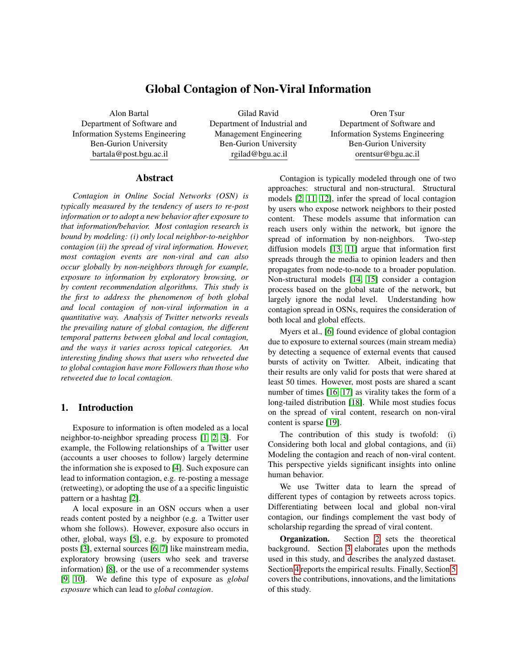# Global Contagion of Non-Viral Information

Alon Bartal Department of Software and Information Systems Engineering Ben-Gurion University bartala@post.bgu.ac.il

Gilad Ravid Department of Industrial and Management Engineering Ben-Gurion University rgilad@bgu.ac.il

Oren Tsur Department of Software and Information Systems Engineering Ben-Gurion University orentsur@bgu.ac.il

#### Abstract

*Contagion in Online Social Networks (OSN) is typically measured by the tendency of users to re-post information or to adopt a new behavior after exposure to that information/behavior. Most contagion research is bound by modeling: (i) only local neighbor-to-neighbor contagion (ii) the spread of viral information. However, most contagion events are non-viral and can also occur globally by non-neighbors through for example, exposure to information by exploratory browsing, or by content recommendation algorithms. This study is the first to address the phenomenon of both global and local contagion of non-viral information in a quantitative way. Analysis of Twitter networks reveals the prevailing nature of global contagion, the different temporal patterns between global and local contagion, and the ways it varies across topical categories. An interesting finding shows that users who retweeted due to global contagion have more Followers than those who retweeted due to local contagion.*

#### <span id="page-0-0"></span>1. Introduction

Exposure to information is often modeled as a local neighbor-to-neighbor spreading process [\[1,](#page-8-0) [2,](#page-8-1) [3\]](#page-8-2). For example, the Following relationships of a Twitter user (accounts a user chooses to follow) largely determine the information she is exposed to [\[4\]](#page-8-3). Such exposure can lead to information contagion, e.g. re-posting a message (retweeting), or adopting the use of a a specific linguistic pattern or a hashtag [\[2\]](#page-8-1).

A local exposure in an OSN occurs when a user reads content posted by a neighbor (e.g. a Twitter user whom she follows). However, exposure also occurs in other, global, ways [\[5\]](#page-8-4), e.g. by exposure to promoted posts [\[3\]](#page-8-2), external sources [\[6,](#page-8-5) [7\]](#page-8-6) like mainstream media, exploratory browsing (users who seek and traverse information) [\[8\]](#page-8-7), or the use of a recommender systems [\[9,](#page-8-8) [10\]](#page-8-9). We define this type of exposure as *global exposure* which can lead to *global contagion*.

Contagion is typically modeled through one of two approaches: structural and non-structural. Structural models [\[2,](#page-8-1) [11,](#page-8-10) [12\]](#page-8-11), infer the spread of local contagion by users who expose network neighbors to their posted content. These models assume that information can reach users only within the network, but ignore the spread of information by non-neighbors. Two-step diffusion models [\[13,](#page-8-12) [11\]](#page-8-10) argue that information first spreads through the media to opinion leaders and then propagates from node-to-node to a broader population. Non-structural models [\[14,](#page-8-13) [15\]](#page-8-14) consider a contagion process based on the global state of the network, but largely ignore the nodal level. Understanding how contagion spread in OSNs, requires the consideration of both local and global effects.

Myers et al., [\[6\]](#page-8-5) found evidence of global contagion due to exposure to external sources (main stream media) by detecting a sequence of external events that caused bursts of activity on Twitter. Albeit, indicating that their results are only valid for posts that were shared at least 50 times. However, most posts are shared a scant number of times [\[16,](#page-8-15) [17\]](#page-8-16) as virality takes the form of a long-tailed distribution [\[18\]](#page-9-0). While most studies focus on the spread of viral content, research on non-viral content is sparse [\[19\]](#page-9-1).

The contribution of this study is twofold: (i) Considering both local and global contagions, and (ii) Modeling the contagion and reach of non-viral content. This perspective yields significant insights into online human behavior.

We use Twitter data to learn the spread of different types of contagion by retweets across topics. Differentiating between local and global non-viral contagion, our findings complement the vast body of scholarship regarding the spread of viral content.

Organization. Section [2](#page-1-0) sets the theoretical background. Section [3](#page-2-0) elaborates upon the methods used in this study, and describes the analyzed dastaset. Section [4](#page-3-0) reports the empirical results. Finally, Section [5](#page-7-0) covers the contributions, innovations, and the limitations of this study.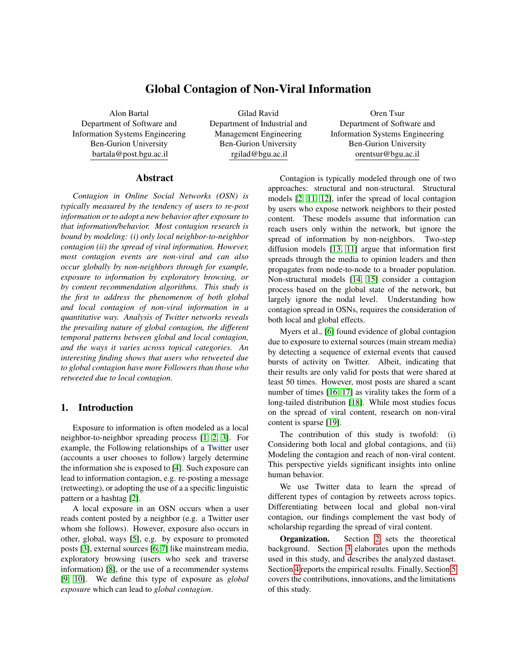### <span id="page-1-0"></span>2. Related Work

Social media has revolutionized how people create and consume information. One way by which information can reach a user is through local exposure to content, posted by other network neighbors (i.e., nodes at a distance of 1-hop from the user). For example, Twitter exposes users to information through the Following-Followers lists [\[20\]](#page-9-2). Such exposure can lead to information contagion (infection, influence, adoption). A local contagion on Twitter can occur when a user retweets a message [\[2,](#page-8-1) [21\]](#page-9-3), posted by a neighbor. Structural contagion models build upon the assumption that contagion spreads by a user-to-user mechanism.

### 2.1. Structural Contagion Models

Most studies about contagion spread focus on user-to-user exposure that leads to local contagion, causing the exposed user to engages in activities [\[22\]](#page-9-4). Leskovec et al., [\[23\]](#page-9-5) studied a recommendation graph and measured the extent to which a user's activity in recommending a product is contagious, i.e., affecting her local neighbors' purchase decisions. Sun at al., [\[1\]](#page-8-0) studied the contagion affect on users' participation in fan-pages after some number of their friends have done so. Bakshy et al., [\[24\]](#page-9-6) examined contagion in adopting the use of "gestures" between friends in the Second Life platform. The Linear Threshold Model [\[25\]](#page-9-7) focuses on contagion, defined by user transition from a non-active to an active state, following a transition in the participation of a network neighbor. The Independent Cascade Model [\[26\]](#page-9-8), allows a user to activate its inactive neighbors, thus contagion is propagated by causing a user to participate.

As explained in Section [1,](#page-0-0) OSN users are increasingly exposed to varied content [\[3\]](#page-8-2) by local neighbors, and by global sources. Global exposure can lead to global contagion [\[5\]](#page-8-4). For example, Facebook and Reddit allow global exposure via trending topics that appear on a user's front page [\[27\]](#page-9-9). Twitter exposes users to information posted by non-neighbors via exposure to hashtags [\[28\]](#page-9-10) and via exposure to promoted content on a user's Timeline feed [\[4\]](#page-8-3). Thus, the need to consider global contagion beyond network structure arises.

#### 2.2. Non-structural Contagion Models

Non-structural contagion models do not rely on the structure of the network to infer contagion. For example, the Susceptible-Infected-Resistant (SIR) and the Susceptible-Infectious-Susceptible (SIS) models [\[29\]](#page-9-11) assume that every individual has the same probability to be infected, i.e., all individuals have the same contact rate, which can be indicated by an edge formation in a network. Leskovec et al., [\[23\]](#page-9-5) propose a SIS model where all users have the same probability to be infected. However, contagion in OSNs is not evenly distributed among users [\[30\]](#page-9-12) and is likely to depend on exposure rates [\[6\]](#page-8-5). The Linear Influence Model assumes a static network structure were users are affected by the rate of contagious users in the network [\[14\]](#page-8-13). Wang et al., [\[31\]](#page-9-13) predict contagion by temporal and topological dynamics but, regarding network structure, consider only the distance from a user to the contagious user.

Myers et al., [\[6\]](#page-8-5) found evidence of global contagion in OSNs by exposure to external (out-of-network) sources such as mainstream media, albeit, indicated that their results are only valid for posts that were shared at least 50 times. However, many posts fail to attract attention [\[16\]](#page-8-15) and do not become viral [\[17\]](#page-8-16). Detecting viral messages have been extensively studied [\[3,](#page-8-2) [2\]](#page-8-1). Since most posts are non-viral [\[18,](#page-9-0) [17\]](#page-8-16), studying how non-viral content spreads can lead to important insights on human behavior online [\[2\]](#page-8-1).

To summarize, an exposure event occurs when a user is exposed to information. Such exposure can lead to information contagion e.g. retweeting (RT) a message on Twitter [\[21\]](#page-9-3). Twitter users can pass interesting pieces of information to their followers by a RT activity which is the action of re-posting someone else's tweet [\[20\]](#page-9-2). A retweeted message indicates the ability of the user who created the message to generate contagious information.

Most contagion research is focused on modeling only local user-to-user contagion, ignoring non-neighbors, or contagion by all network users, largely ignoring the topology of the network. Detecting both local and global contagion while considering network structure is crucial to better understand human behavior online, as reflected by user interactions [\[32\]](#page-9-14).

### 2.3. Types of User Interactions

OSNs provide users platforms to form interaction activities. These online activities create an *activity network* and include, for example, post-reply, and content sharing activities by which users expose others to information. Twitter, for example, supports two type of networks: a *social network* based on the Following-Follower relationships, and an activity network of who tweets whom [\[20\]](#page-9-2). In a Twitter RT network, nodes are authors of the tweets and edges represent the contagion spreading paths [\[33\]](#page-9-15).

Dow et al., [\[17\]](#page-8-16) focused on contagion spread by resharing a photo on Facebook at least 100 times while also considering the social network of friends. They found that viral cascades have a large depth (larger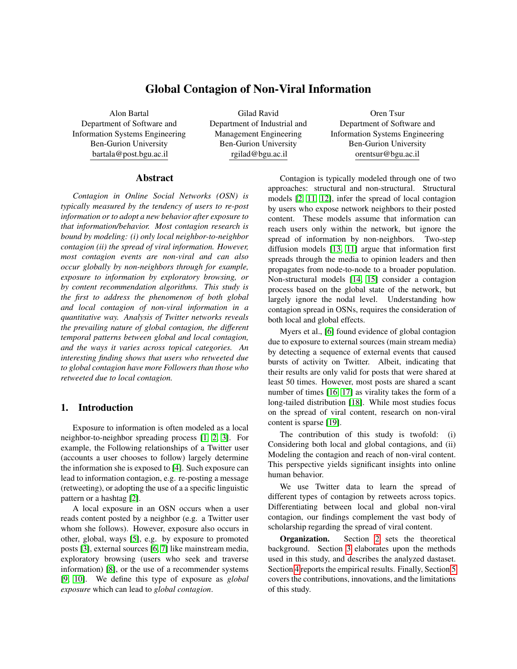than 20), many re-shares occurred within a single step from the source, and that a significant fraction of re-shares occurred deeper than one level into the cascade. Liben-Nowell et al., [\[34\]](#page-9-16) measured cascades with hundreds of steps. These studies did not analyze the dynamics that govern non-viral information spread.

Some OSNs only provide users the ability to interact, without the ability to form an explicit relationship (social) network. Therefore, the relationships between users are implicit [\[35\]](#page-9-17). However, Shi et al., [\[36\]](#page-9-18) found that the contagion spreading patterns in the activity networks are similar to those of explicit relationships networks in online spaces. Moreover, the Twitter social network was found to be less informative regarding contagion spread than the activity network, which exposes users by a RT, a mention, or a reply [\[7\]](#page-8-6).

As discussed, most posts fail to attract attention. Lack of sufficient knowledge about the spread of non-viral content and sparse research about global contagion in OSNs are the motivation of this study.

The proposed modeling approach of local and global contagion, which provides multiple pathways in which contagion can spread, is the basis for asking the following two Research Questions (RQ):

- 1. Does global and local contagion of non-viral information have different spreading patterns in OSNs?
- 2. Does global and local contagion of non-viral information spread differently in OSNs depending on the discussed topics?

Our work differs significantly from other studies by considering both local contagion as well as global contagion that are not restricted to exposure by mainstream media, or user-to-user mechanisms, and can also result from exposure to content promoted by algorithms. Our findings regarding the spread on non-viral content complement the vast body of scholarship regarding the spread of viral content.

#### <span id="page-2-0"></span>3. Methods and Data

### <span id="page-2-2"></span>3.1. Detecting Local and Global Contagion

This section is designed to cope with RQ #1. Consider a directed social network as a graph  $G =$  $(V, E)$  were nodes  $(V)$  represent Twitter users and edges  $(E)$  represent Following relationships among users. If a user  $v_j$  follows another user  $v_i$  then, there exists a directed edge  $e_{ij}$  2 E, connecting them. The direction of  $e_{ij}$  signals an exposure path where  $v_i$  post is (potentially) read by  $v_j$  who follows  $v_i$ . Such exposure might result in a spread of a local contagion.

More formally, let  $w$  denote an information nugget (e.g. an original tweet) which is posted at time  $t_0$  by user  $v_0 \nightharpoonup V$ . The retweeting spread of w at times  $t_1...t_k$ by users  $v_1, ..., v_j \nightharpoonup V$ , along with  $v_0$  could be thought of as a temporal *activity network*  $G_{Tw} = (V_{Tw}, E_{Tw}),$ laid over the social network G. In  $G_{Tw}$ , nodes  $(V_{Tw})$ represent users who retweet w at times  $t_i$   $t_k$ , starting with  $v_0$  and edges  $(E_{Tw})$  are defined by retweet (RT) relations which are known from the dataset. If  $v_i$  2  $V_{Tw}$ has retweeted a tweet that was posted by  $v_j \nightharpoonup V_{Tw}$  then,  $e_{ij}$  2  $E_{Tw}$ . The edge  $e_{ij}$  points to the node who spread the contagion (i.e., the infecting node).

Next, we define the two types of contagion.

Local contagion. We define a contagion as local if  $e_{ij}$  2  $E_{Tw}$  and  $e_{ji}$  2  $E$ . That is,  $v_i$  retweeted an original post w *after* one of the users she follows have retweeted or wrote it, hence the contagion is local.

Global contagion. We define a contagion as global if  $e_{ij}$  2  $E_{Tw}$  and  $e_{ji}$  2  $E$ . That is,  $v_i$  retweeted w *before* any of the users she follows have retweeted it, hence the contagion is global.

This contagion process is illustrated in Figure [1.](#page-2-1) A user  $v_0$  posts a tweet w at  $t_0$ , locally exposing her followers  $(v_2, v_4)$ . User  $v_2$  retweeted w at time  $t_1$ , presenting a local contagion, since  $v_2$  follows  $v_0$ . In addition,  $v_1$  who does not follow  $v_0$  has also retweeted w at time  $t_1$ . We say that,  $v_1$  was exposed by some global source to  $w$  and was infected globally (i.e., global contagion). In Figure [1,](#page-2-1) the rest of the contagion events ( $v_3$  at  $t_2$ ,  $v_4$  at  $t_3$  and  $v_5$  at  $t_4$ ) are local since their opposite edges in  $E_{Tw}$  exist in E.

<span id="page-2-1"></span>

Figure 1: An activity network with a social network. Contagion time  $(t_i)$  of a node is indicated near the node.

To cope with RQ #2, we analyze user retweet activity by topics which requires detecting the discussed topics.

#### <span id="page-2-3"></span>3.2. Topics Detection

To detect the topics of tweets, we follow two steps. First, detect the list of topics in the dataset by inspecting a random sample of tweets from the dataset.

From a statistical point of view the number of topics in a randomly sampled twitter data exhibits high positive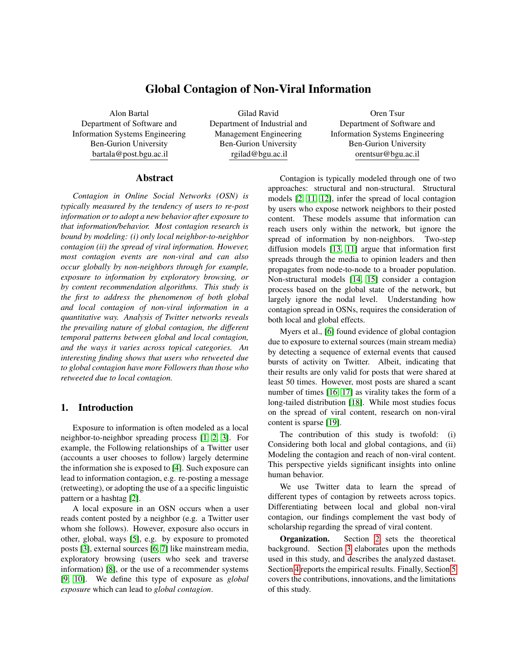correlation with the number of topic in the dataset when the randomly selected sample is large enough [\[37\]](#page-9-19).

Second, each tweet in the dataset was annotated by three independent annotators into one of the categories, identified in the First step. A Tweet's topic (category) was decided by majority vote. If each of the annotators assigned a tweet a different category, preventing a majority, the principal researchers assigned the category.

### <span id="page-3-2"></span>3.3. Dataset Description

Using the Twitter stream API, we collected into the *initial* dataset during March 2017 all public tweets either mentioning (i.e., @username) the username of the president of the United States (US) or the username of a member of the US Congress. The accounts of users who posted the tweets were also collected. The initial dataset was selected since it contains tweets on US politics with a potential to go viral, allowing us to select active users. Since the discussed topics in the initial dataset are somewhat biased toward politics, we counter such bias by analyzing tweets on any topic of users who posted a tweet in the initial dataset.

We used the Tweepy Python library to create a stream session and routed tweet messages to a StreamListener instance. We saved the tweets as json files for further processing with the R and Python software, as described next (Figure [2\)](#page-3-1):

- 1. Select randomly a user who posted a tweet in the initial dataset. To avoid "celebrities" who tend to go viral, we include that user if the user's Followers and Friends-lists' sizes range between 100 and 1,000. To avoid inactive users, accounts with less than 100 Followers were omitted. We curated the analyzed dataset in Steps #2 to #5 during October 2018, starting with Step #2 which is designed to counter the bias in the initial dataset toward politics topics.
- 2. Following [\[38\]](#page-9-20) we collected the 200 most recent tweets posted by each of the users selected in Step #1 without being limited to a specific topic like politics. The older a tweet, the more likely that its retweet list will be missing a user (blocked, deleted, suspended, or protected), which can negatively effect the analysis of contagion spreading paths. Selecting the most recent tweets minimizes the chance for a biased view. The next step is designed to select non-viral tweets from the tweets collected in step #2.
- 3. Obtain only tweets with 10 to 100 retweets (RTs) for each tweet collected in Step #2. The upper

bound of 100 RTs was selected following [\[11,](#page-8-10) [17\]](#page-8-16) who indicated that viral posts infect more than 100 nodes. One month after the collection date, we checked the RT-count of each tweet captured in this step to verify that a tweet did not become viral, discarding the viral ones.

- 4. Collect Twitter accounts of users who retweeted an original tweet in Step #3. Throughout this process we waved out suspected Bots (automated agents) with the botcheck R package which calls the Botometer API [\[39\]](#page-9-21). Only users with a score bellow 3 were selected, presenting an average score of 2.3 out of 5. The lower the score the less likely a user is a Bot. The removal of Bots is necessary to learn human behavior.
- 5. Collect the Followers list of users from Step #4.

<span id="page-3-1"></span>

Figure 2: Data collection steps (# denoted in a circle).

### <span id="page-3-0"></span>4. Analysis and Results

Following Section [3.3,](#page-3-2) in Step #1 we selected a seed of 200 users from the initial dataset. During October 2018 we curated the analyzed dataset by following Steps #2 to #5. The 200 users allowed us to collect and analyze a large dataset (elaborated next) of retweet contagions events, similar to other studies on contagion [\[4,](#page-8-3) [7,](#page-8-6) [5,](#page-8-4) [6\]](#page-8-5). The set of selected users had Followers and Friends-list sizes between 100 and 1,000. In Step #2 we collected the most recent tweets of selected users. Step #3 has resulted in 3,901 tweets, out of which 745 tweets were discarded since their RT count grew over 100. Thus, the remaining 3,156 tweets represent non-viral content. Step #4 resulted in 25,607 users who retweeted 172,206 times. Finally, Step #5 resulted in 11,038,902 users.

To summarize, we analyzed 3,156 tweets that were retweeted by 25,607 users, 172,206 times. The retweeting users had a total of 11,038,902 Followers.

Given a network, a local contagion begins at some node (user) and then spreads from user-to-user over the edges of the network, creating a cascade [\[40\]](#page-9-22). Typically, cascades are measured on the activity network [\[40\]](#page-9-22), ignoring information about users' social relationships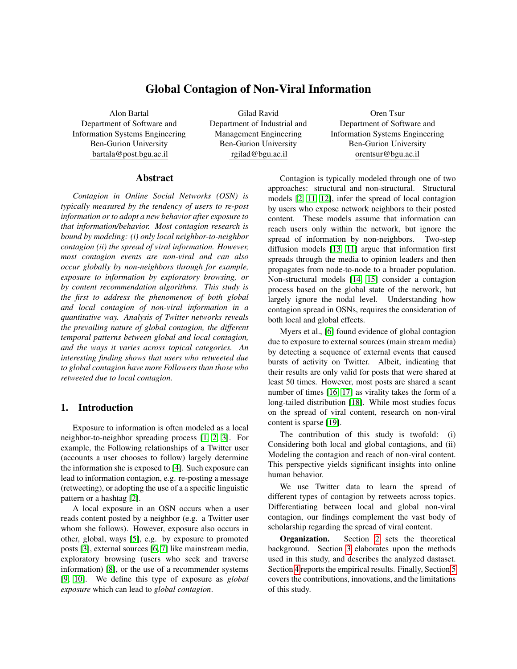(i.e., social network), which can explain the observed spreading patterns of a contagion [\[17\]](#page-8-16). To cope with RQ #1, and better understand human behavior online in spreading non-viral content, we start by detecting a contagion using the activity network  $(G_{Tw})$ , and measure the depth of a cascade on the social network  $(G)$ . The cascade depth is defined as the largest distance the information spreads from the user originating the information [\[40\]](#page-9-22).

To detect the cascade depth of  $w$ , each user retweeting w was assigned a distance  $(d)$  on G from the user  $v_0$ , who originated w. An infinite distance  $(INF)$ was assigned in the absence of a path on G. Distances were calculated using the R igraph package [\[41\]](#page-9-23). Figure [3a](#page-4-0) presents a distribution of the distances from  $v_0$ . Since a cascade is defined as a user-to-user spread, the depth of a cascade for each w is  $max(fd/d < INFG)$ .

A path might exists at larger distances (e.g.  $d = 10$ ) on the Following circles that we collected in Step #5. However, such contagion is global and thus, does not affect the analyses that follow.

Dow et al., [\[17\]](#page-8-16) found that contagion occurred deeper than one level into viral cascades. We find similar results regarding the spread of contagion with non-viral content (Figure [3a\)](#page-4-0). The results show that non-viral content has a contagion cascade with depth  $d = 9$ . If a path exists on  $G$ , the more distant a user is from the source  $v_0$ , the less likely she is to retweet w (Figure [3a\)](#page-4-0). As expected, most contagion events are local  $(d = 1)$ .

To provide a view of the global contagion, we need to consider the temporal order of the retweeting events. For example, consider a slight variation in Figure [1](#page-2-1) where  $v_0$  is the source of w;  $v_3$  retweets w at time  $t_1$ before  $v_2$  retweets w at time  $t_2$ . This order of events implies  $v_3$  was infected globally.

To account for such cases, each infected node was assigned a contagion type (local/global) by analyzing the activity network and the social network as described in Section [3.1.](#page-2-2) Then, we computed the minimal distance on G from any user  $v_i$  2  $V_{Tw}$  who retweeted w at time  $t_k$  ( $V_{Tw}$  are adaptors), to any user who retweeted w before  $t_k$ , or to the user who originated w (Figure [3b\)](#page-4-0). Returning to Figure [1,](#page-2-1) consider a case where the tweeting source is  $v_0$ , and nodes  $v_0$ ,  $v_3$  are the only users in  $V_{Tw}$  at time  $t_{k-1}$ . Next, at time  $t_k$  global contagion spread to  $v_5$ . The minimal distance from any user in  $V_{Tw}$  before  $t_k$ , to  $v_5$  is  $d(v_3, v_5) = 2$ , or  $d(v_0, v_5) = 2$ . <sup>21</sup>, and better understand human behavior online<br>and the content of the closer a user a user a user to detecting<br>signedning toon-viral content, we start by detecting<br>signedning ono-viral content, we start by detecting<br>th

In Figure [3b,](#page-4-0)  $d = 1$  indicates a local contagion. As expected, this is the most frequent contagion mechanism. Whereas,  $d > 1$  indicates a distance that was measured from the closest adopter to a user who was infected by a global contagion.

<span id="page-4-0"></span>

(b) Histogram of distances from the closest adaptor.

Figure 3: Histograms of measured distances.

adaptor, the more likely that user will retweet. This finding supports the six-degree of separation theory [\[42\]](#page-9-24). An interesting twist of a trend for  $d > 6$ : the larger the distance, the more likely a user will retweet.

Most users are aware of information up to a social distance of three hops [\[43\]](#page-9-25). Thus, the trend observed for  $d = 6$  is in line with previous scholarship and it is likely that a user who is retweeting at  $d = 6$  (Figure [3b\)](#page-4-0) was exposed to content through locality, through manually crawling through the feeds of friends (and friends of friends), or through exposure to the Twitter Timeline containing tweets of accounts that a user follows.

On the other hand, contagion occurring with  $d > 6$  is more likely to result from a global exposure by means of exposure to external sources (e.g. main stream media), or promoted content by the Twitter Timeline algorithm.

Recall that our dataset contains non-viral tweets which are less likely to be covered by mainstream media, and therefor we believe that the Twitter Timeline algorithm has exposed users and led to global contagion.

Twitter organises content on a user's Timeline in three main groups: 1) Tweets of accounts that a user follows, 2) Promoted tweets - purchased by advertisers, and 3) Tweets that are ranked by Twitter as having a large engagement potential [\[44\]](#page-9-26). Groups #2, and #3 can contain content by non-neighbors. Due to user low available time and limited attention, pushed information on the user's Timeline significantly increases contagion rate [\[21,](#page-9-3) [44\]](#page-9-26). Thus, global contagion is more likely to occur due to content promoted by Twitter's Timeline.

To better study the patterns by which contagion spread, we calculated the hourly time difference between every two consecutive retweets, i.e.,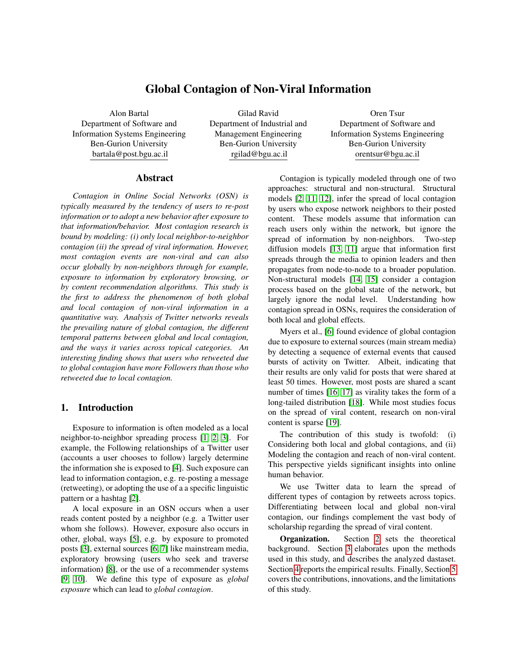<span id="page-5-0"></span>



(b) Followers log-log distribution.

Figure 4: Patterns of global (red) and local (blue) contagion.

inter-retweet times. Figure [4a](#page-5-0) presents two cumulative distribution functions (CDFs) of inter-retweet times that correspond to each contagion type (local and global). The two CDFs show different trends, uncovering different patterns of user behavior.

For global contagions, 80% of inter-retweet times were less than 0.44 hours ( 27.35 minutes), while for 99% of them, the inter-tweet time was less than 305.96 hours ( 12.74 days). For local contagions, 80% of the inter-retweet times were less than 0.91 hours ( 54.6 minutes), whereas, for 99% of them, the inter-tweet time was less than 180.94 hours ( 7.54 days). This finding in inline with previous scholarship [\[45\]](#page-9-27), and shows that Twitter members interact in a bursty nature, where members send several tweets in short periods, separated by long periods of reduced activity [\[46\]](#page-9-28).

We observe a change in Figure [4a](#page-5-0) at point  $P_1$ . Up to point  $P_1$  users retweeting due to global contagion respond quicker than those infected locally. At  $P_1$ , 88% of the inter-retweet times of users were less than 2 hours. After  $P_1$  global contagion spreads slightly slower than the local contagion but lasts longer.

A possible explanation for this finding is that local contagion spreads slower than global contagion in the initial phase since: 1) In local contagion a user has to wait for the information to reach her through neighbors, and 2) Users' inclination to retweet non-viral content is limited and governed by friendships.

While contagion is often perceived as spreading like an infectious disease, social contagion differs in that OSN users actively decide to spread it. On the other hand, users who are exposed by a global source are not restricted by a neighbor-to-neighbor mechanism.

We also study the effect of the number of Followers on the contagion types. Users who retweeted due to global contagion have more Followers than those who retweeted due to local contagion (Figure [4b](#page-5-0)). A user with many Followers acts as an information source. To maintain this reputation, a user has to actively consume diverse and innovative information beyond her local neighborhood [\[47\]](#page-9-29).

To cope with RQ #2, we pursue a more fine-grained analysis between local and global contagion, by analyzing next, user retweet activity by topics.

#### 4.1. Retweet Analysis by Topics

Following the First step in Section [3.2](#page-2-3) we inspected a random sample of 1,000 tweets from the dataset which reflects the topic distribution within the dataset with 95% confidence level. We identified 19 topics in the sample as presented in Figure [5.](#page-6-0) In the Second step, each tweet in the dataset was annotated by three independent annotators into one of the 19 topics, identified in the First step (Table [1\)](#page-7-1). Fleiss's Kappa [\[48\]](#page-9-30) of inter-rater agreement score  $(0.68)$  indicates an adequate agreement.

Figure [5a](#page-6-0) shows that the size of global contagion varies across topical categories. The three most contagious categories are Politics, Sports, and Celebrity. Breaking contagious to types, we find that Politics has only 17% of global contagion (Figure [5b](#page-6-0)). Several studies [\[2,](#page-8-1) [49\]](#page-9-31) found that political related topics spread the most. Our analysis uncovers similar findings for the spread of local contagions (Figure [5b](#page-6-0)). However, global contagion shows different results. A low global contagion in Politics may be the result of "echo chambers", i.e., restricted exposure to opinions of like minded users [\[3\]](#page-8-2), tending to retweet each other. Technology, Community, and Sports related topics enjoy the highest percentage of global contagion. Since this study focuses on non-viral content, the analyzed tweets are less likely covered by mainstream media. We hypothesize that in the absence of exposure by mainstream media, and the existence of global contagion, individuals are exposed by other global exposure sources.

We further analyze the density distributions of the number of global (Figure [6a\)](#page-6-1) and local (Figure [6b\)](#page-6-1)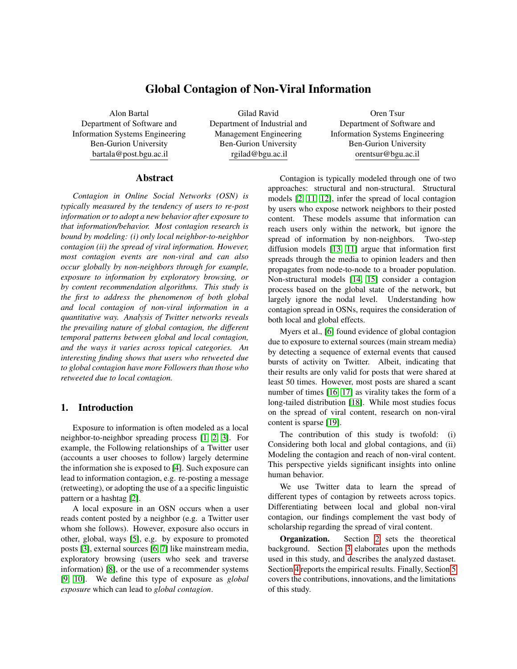<span id="page-6-0"></span>

(a) Sum of contagions per type and topic.

Figure 5: Patterns of global (red) and local (blue) contagion.

<span id="page-6-1"></span>

(a) Density distributions of # global contagions per topic.

(b) Density distributions of # local contagions per topic.

Figure 6: Density distributions of the number of contagions by type. Black circles: median; Diamonds: mean.

contagions (retweets) across different topics, illustrated by violin plots. A violin plot allows the comparison of multiple density distributions, similar to a box plot with a rotated kernel density plot on each side.

From Figure [6a, 6b](#page-6-1) it can be observed that within each topic, the local and global retweet distributions present different shapes. Using a Kruskal-Wallis rank (KW) test [\[50\]](#page-9-32) we found significant differences in the density for both local  $(P_{value} = 22 \quad 10^{16} < 0.05)$ , and global  $(P_{value} = 3 \quad 10^1 \leq 0.05)$  contagions across topics. To detect where those differences lie,

we conducted two Conover-Iman tests [\[51\]](#page-9-33) with the Benjamini-Hochberg method. Figure [7](#page-8-17) presents the  $P_{value}$  of each test, one for the global contagion, and the other for the local contagion. Considering local contagion, most topic groups are not significantly different in their number of retweets (indicated by red and yellow squares in Figure [7\)](#page-8-17). The low  $P_{value}$  in the KW test regarding local contagion was achieved due to significant differences between a small number of topical categories. For example, Technology differs from Tourism (Figure [7\)](#page-8-17). Whereas for global contagion,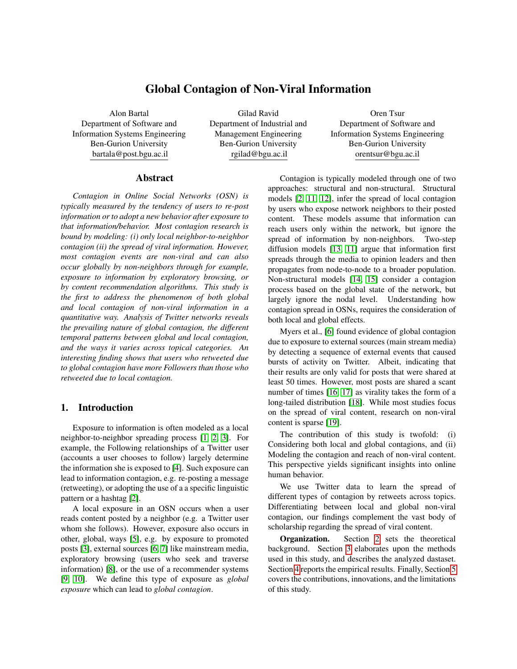<span id="page-7-1"></span>

| Category           | Definition                                           | Example                                         |
|--------------------|------------------------------------------------------|-------------------------------------------------|
| Animals            | Requests to save animals, reports of animal          | "#Blackfish be careful out there.<br>They are   |
|                    | abuse, photos of animals.                            | taking our' fish."                              |
| Celebrity          | The subject is a person or a group. Political        | "Had the pleasure of interviewing the fabulous  |
|                    | figures were classified as "Politics".<br>Sports     | @JoeCongelAuthor."                              |
|                    | teams were classified as "Sports".                   |                                                 |
| Climate            | Whether, global warming, green environment.          | "We broke down climate change by region."       |
| Community          | Public requests such as donations,<br>giving         | "Ok dear friends, if you're thinking of an      |
|                    | advice, sharing feelings with others, erotic texts,  | organization to support next year, pls consider |
|                    | complaints, empowerment.                             | Culture of Life Africa."                        |
| Crime              | Posts on illegal actions, trials, and laws.          | "Accuse an 82 grandmother of vandalism?"        |
| Economy            | Posts on business issues e.g.<br>deals, trade,       | "The UN spends more than 80% of its annual      |
|                    | consumption of goods, and investments.               | peacekeeping budget in Africa."                 |
| Education          | Research results, books, schools, universities,      | "Afghanistan museum unveils restored ancient    |
| (Edu)              | historical facts, quotation of wisdom comments.      | Buddha."                                        |
| Events             | News, current and live events reported by users      | "#TrafficAlert I15 NB. Approx 100 gallons of    |
|                    | (e.g. earthquake).                                   | diesel across all lanes."                       |
| Food               | Experiences regarding food and drinks (e.g.          | "I'm hungry, let's go grab food. How does       |
|                    | restaurants recommendations).                        | Lazy Moon sound?"                               |
| Entertainment      | Humor, spare time, hobbies, jokes, short funny       | "In the ER, a guy wearing a jacket that says,   |
| (Fun)              | videos, fashion, lifestyle.                          | "Invincible," he does not seem"                 |
| Health             | Any health-related subject (e.g. a symptoms).        | "436 hospitalized due to McDonald's salads."    |
| <b>Mixed Media</b> | Texts about movies, main stream media, or            | "Star Wars: Clone Wars Revived for Surprise     |
| (Media)            | social media.                                        | Season."                                        |
| Music              | Songs, albums, bands, music, and playing tools.      | "Drop your favorite song '?' in the comments."  |
| Opinion            | Opinions on any subject not belonging to other       | "People in LA are the best."                    |
|                    | categories, with inconclusive finding or facts.      |                                                 |
| Politics           | A political figure, a party or movement,             | "More Americans would still vote for Trump      |
|                    | elections, a location that is the subject of         | again than Clinton".                            |
|                    | controversial political discussion, or an issue that |                                                 |
|                    | is the subject of a political discussion.            |                                                 |
| Religion           | Texts about users' beliefs, often containing the     | "God does not forsake the work which his own    |
|                    | words: church, pray, God, Christian, and bible.      | hands have begun."                              |
| <b>Sports</b>      | Names of sports teams, leagues, sport events, fan    | "IT'S DONE!! Welcome, Las Vegas Raiders!"       |
|                    | groups, or references to news items on sports.       |                                                 |
| Technology         | Names of Web sites, applications, devices, or        | "change your password immediately" if you       |
|                    | events about any of these.                           | stayed at a Marriott Hotel."                    |
| Tourism            | Holiday, and vacation recommendations.               | "Travel guys while you're able to."             |

Table 1: Definitions of categories used for annotation with examples.

Definition taken from [\[2\]](#page-8-1); In absent of a majority vote among annotators, the authors assigned the category.

most topic groups significantly differ from one another, as indicated by the absent of numbers in Figure [7.](#page-8-17)

## <span id="page-7-0"></span>5. Conclusions

Most contagion research is bound by modeling only local contagion, and the spread of viral information. This study focused on modeling contagion spread on Twitter by users' engagement in retweeting non-viral content. Contrary to the common assumption that contagion diffuses from node-to-node, we find that contagion in OSNs also spreads globally, beyond social network links. In addition, we find that the fractions of global and local contagion differ between topics. The percentage of global contagion on Twitter ranges from 8% in Crime to 28% in Technology related topics.

Significant differences in the spread of global and local contagion of non-viral information, imply on different mechanisms of contagion at work. Two behaviors are observed in the spread of global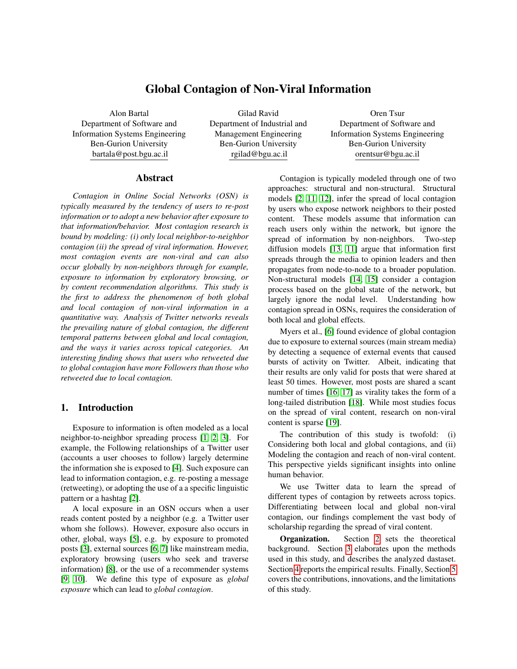<span id="page-8-17"></span>

Figure 7:  $P_{values}$  of Conover-Iman test.

contagion. First, at distances  $d \nightharpoonup [2, 6]$  on the social network from a user who adopted the information: the larger the distance the less likely a user will be infected. Second, when  $d > 6$  the trend is reversed. When  $d > 6$  users are less likely to search information by a user-to-user page crawling. Thus, contagion more likely occurs due to content promoted by external sources such as algorithms, mass media, or searching information in the Twitter search box (i.e., jumping between pages).

We also analyzed the temporal retweeting activity of users and find that global contagion spreads faster than local contagion, indicated by short inter-retweet times up to point  $P_1$ . At point  $P_1$ , 88% of the inter-retweet times were less than 2 hours, indicating that global contagion is more bursty than local contagion. This might be due to a blocking mechanism of local contagion where retweeting non-viral content is less appealing. However, after point  $P_1$  the trend is reversed.

Two main limitations of this study are 1) Human annotation has subjective judgments in topic assignments. Some categories definition can overlap, depending on the annotator's subjective reading. However, the level of agreement among annotators presented adequate results, and 2) There might have been retweets by deleted accounts which we cannot observe in a retweet list.

Whereas, most studies focus on user-to-user contagion, this study contributes to the knowledge on how non-viral contagion spread. Since most content is non-viral, analyzing it makes a valuable contribution to the OSN research. The novelty associated with this study is in better modeling user behavior in an OSN, accounting to local and global effects.

#### References

<span id="page-8-0"></span>[1] E. Sun, I. Rosenn, C. A. Marlow, and T. M. Lento, "Gesundheit! modeling contagion through facebook news feed," in *Third international AAAI conference on weblogs and social media*, 2009.

- <span id="page-8-1"></span>[2] D. M. Romero, B. Meeder, and J. Kleinberg, "Differences in the mechanics of information diffusion across topics: idioms, political hashtags, and complex contagion on twitter," in *Proceedings of the 20th international conference on World wide web*, pp. 695–704, ACM, 2011.
- <span id="page-8-2"></span>[3] E. Bakshy, S. Messing, and L. A. Adamic, "Exposure to ideologically diverse news and opinion on facebook," *Science*, vol. 348, no. 6239, pp. 1130–1132, 2015.
- <span id="page-8-3"></span>[4] S. Wakamiya, Y. Kawai, and E. Aramaki, "Twitter-based influenza detection after flu peak via tweets with indirect information: text mining study," *JMIR public health and surveillance*, vol. 4, no. 3, p. e65, 2018.
- <span id="page-8-4"></span>[5] A. Bartal, N. Pliskin, and G. Ravid, "Modeling influence on posting engagement in online social networks: Beyond neighborhood effects," *Social Networks*, vol. 59, no. 1, pp. 61–76, 2019.
- <span id="page-8-5"></span>[6] S. A. Myers, C. Zhu, and J. Leskovec, "Information diffusion and external influence in networks," pp. 33–41, 2012.
- <span id="page-8-6"></span>[7] M. Cha, H. Haddadi, F. Benevenuto, and P. K. Gummadi, "Measuring user influence in twitter: The million follower fallacy," *Icwsm*, vol. 10, no. 10-17, p. 30, 2010.
- <span id="page-8-7"></span>[8] A. Jain, N. Lupfer, Y. Qu, R. Linder, A. Kerne, and S. M. Smith, "Evaluating tweetbubble with ideation metrics of exploratory browsing," in *Proceedings of the 2015 ACM SIGCHI Conference on Creativity and Cognition*, pp. 53–62, ACM, 2015.
- <span id="page-8-8"></span>[9] E. Pariser, *The filter bubble: What the Internet is hiding from you*. Penguin UK, 2011.
- <span id="page-8-9"></span>[10] R. Buettner, "A framework for recommender systems in online social network recruiting: An interdisciplinary call to arms," in *2014 47th Hawaii International Conference on System Sciences*, pp. 1415–1424, IEEE, 2014.
- <span id="page-8-10"></span>[11] S. Goel, A. Anderson, J. Hofman, and D. J. Watts, "The structural virality of online diffusion," *Management Science*, vol. 62, no. 1, pp. 180–196, 2015.
- <span id="page-8-11"></span>[12] A. D. Kramer, J. E. Guillory, and J. T. Hancock, "Experimental evidence of massive-scale emotional contagion through social networks," *Proceedings of the National Academy of Sciences*, vol. 111, no. 24, pp. 8788–8790, 2014.
- <span id="page-8-12"></span>[13] E. Katz, "The two-step flow of communication: An up-to-date report on an hypothesis," *Public opinion quarterly*, vol. 21, no. 1, pp. 61–78, 1957.
- <span id="page-8-13"></span>[14] J. Yang and J. Leskovec, "Modeling information diffusion in implicit networks," in *2010 IEEE International Conference on Data Mining*, pp. 599–608, IEEE, 2010.
- <span id="page-8-14"></span>[15] F. Wang, H. Wang, and K. Xu, "Diffusive logistic model towards predicting information diffusion in online social networks," in *2012 32nd International Conference on Distributed Computing Systems* pp. 133–139, IEEE, 2012.
- <span id="page-8-15"></span>[16] J. Cheng, L. Adamic, P. A. Dow, J. M. Kleinberg, and J. Leskovec, "Can cascades be predicted?," in *Proceedings of the 23rd international conference on World wide web*, pp. 925–936, ACM, 2014.
- <span id="page-8-16"></span>[17] P. A. Dow, L. A. Adamic, and A. Friggeri, "The anatomy of large facebook cascades," in *Seventh international AAAI conference on weblogs and social media*, 2013.